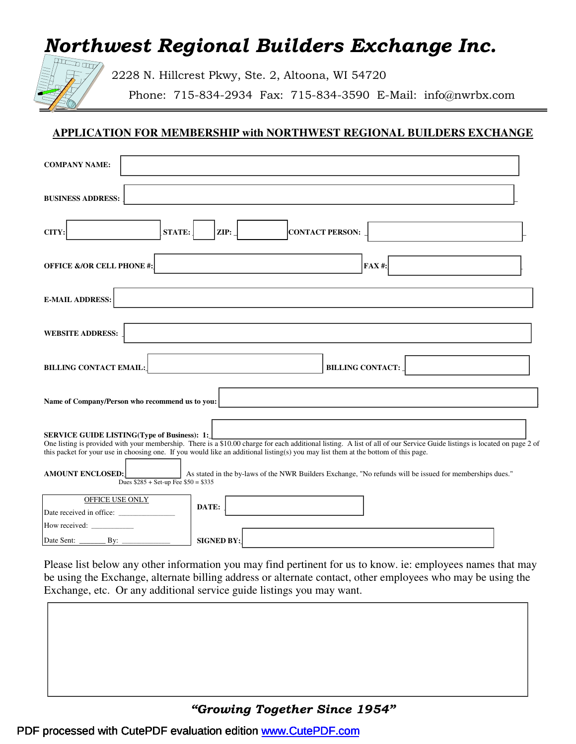# Northwest Regional Builders Exchange Inc.



2228 N. Hillcrest Pkwy, Ste. 2, Altoona, WI 54720

Phone: 715-834-2934 Fax: 715-834-3590 E-Mail: info@nwrbx.com

### **APPLICATION FOR MEMBERSHIP with NORTHWEST REGIONAL BUILDERS EXCHANGE**

| <b>COMPANY NAME:</b>                                                                                                                                                                                                                                                                                                                                                 |
|----------------------------------------------------------------------------------------------------------------------------------------------------------------------------------------------------------------------------------------------------------------------------------------------------------------------------------------------------------------------|
| <b>BUSINESS ADDRESS:</b>                                                                                                                                                                                                                                                                                                                                             |
| ZIP:<br><b>CONTACT PERSON:</b><br>CITY:<br><b>STATE:</b>                                                                                                                                                                                                                                                                                                             |
| <b>OFFICE &amp;/OR CELL PHONE #:</b><br>$FAX$ #:                                                                                                                                                                                                                                                                                                                     |
| <b>E-MAIL ADDRESS:</b>                                                                                                                                                                                                                                                                                                                                               |
| <b>WEBSITE ADDRESS:</b>                                                                                                                                                                                                                                                                                                                                              |
| <b>BILLING CONTACT:</b><br><b>BILLING CONTACT EMAIL:</b>                                                                                                                                                                                                                                                                                                             |
| Name of Company/Person who recommend us to you:                                                                                                                                                                                                                                                                                                                      |
| <b>SERVICE GUIDE LISTING(Type of Business): 1:</b><br>One listing is provided with your membership. There is a \$10.00 charge for each additional listing. A list of all of our Service Guide listings is located on page 2 of<br>this packet for your use in choosing one. If you would like an additional listing(s) you may list them at the bottom of this page. |
| <b>AMOUNT ENCLOSED:</b><br>As stated in the by-laws of the NWR Builders Exchange, "No refunds will be issued for memberships dues."<br>Dues $$285 + Set-up$ Fee $$50 = $335$                                                                                                                                                                                         |
| <b>OFFICE USE ONLY</b><br>DATE:<br>Date received in office:<br>How received:                                                                                                                                                                                                                                                                                         |
| <b>SIGNED BY:</b><br>Date Sent:<br>$\qquad \qquad \text{By:} \qquad$                                                                                                                                                                                                                                                                                                 |

Please list below any other information you may find pertinent for us to know. ie: employees names that may be using the Exchange, alternate billing address or alternate contact, other employees who may be using the Exchange, etc. Or any additional service guide listings you may want.

### "Growing Together Since 1954"

### PDF processed with CutePDF evaluation edition www.CutePDF.com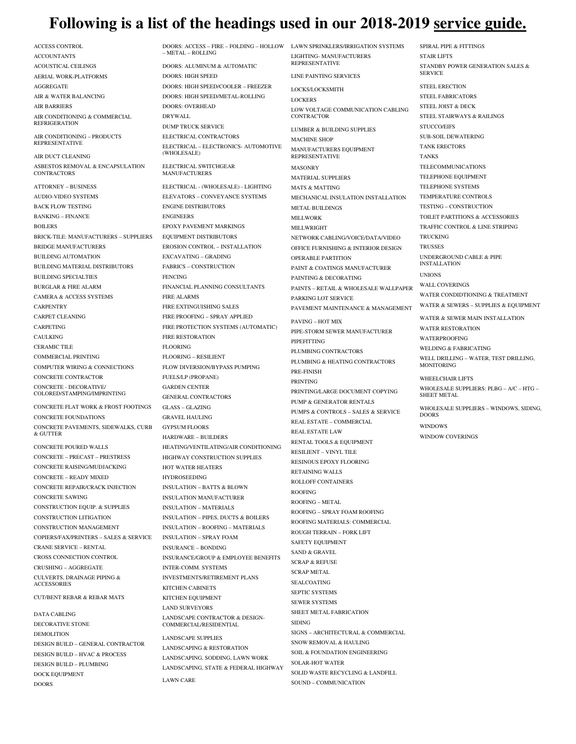## **Following is a list of the headings used in our 2018-2019 service guide.**

ACCESS CONTROL ACCOUNTANTS ACOUSTICAL CEILINGS AERIAL WORK-PLATFORMS AGGREGATE AIR & WATER BALANCING AIR BARRIERS AIR CONDITIONING & COMMERCIAL REFRIGERATION

AIR CONDITIONING – PRODUCTS REPRESENTATIVE

AIR DUCT CLEANING ASBESTOS REMOVAL & ENCAPSULATION **CONTRACTORS** 

ATTORNEY – BUSINESS AUDIO-VIDEO SYSTEMS BACK FLOW TESTING BANKING – FINANCE BOILERS BRICK-TILE: MANUFACTURERS – SUPPLIERS BRIDGE MANUFACTURERS BUILDING AUTOMATION BUILDING MATERIAL DISTRIBUTORS BUILDING SPECIALTIES BURGLAR & FIRE ALARM CAMERA & ACCESS SYSTEMS **CARPENTRY** CARPET CLEANING CARPETING CAULKING CERAMIC TILE COMMERCIAL PRINTING COMPUTER WIRING & CONNECTIONS CONCRETE CONTRACTOR CONCRETE - DECORATIVE/ COLORED/STAMPING/IMPRINTING

CONCRETE FLAT WORK & FROST FOOTINGS CONCRETE FOUNDATIONS CONCRETE PAVEMENTS, SIDEWALKS, CURB & GUTTER

CONCRETE POURED WALLS CONCRETE – PRECAST – PRESTRESS CONCRETE RAISING/MUDJACKING CONCRETE – READY MIXED CONCRETE REPAIR/CRACK INJECTION CONCRETE SAWING CONSTRUCTION EQUIP. & SUPPLIES CONSTRUCTION LITIGATION CONSTRUCTION MANAGEMENT COPIERS/FAX/PRINTERS – SALES & SERVICE CRANE SERVICE – RENTAL CROSS CONNECTION CONTROL CRUSHING – AGGREGATE CULVERTS, DRAINAGE PIPING & **ACCESSORIES** 

CUT/BENT REBAR & REBAR MATS

DATA CABLING DECORATIVE STONE DEMOLITION DESIGN BUILD – GENERAL CONTRACTOR DESIGN BUILD – HVAC & PROCESS DESIGN BUILD – PLUMBING DOCK EQUIPMENT DOORS

DOORS: ACCESS – FIRE – FOLDING – HOLLOW – METAL – ROLLING

DOORS: ALUMINUM & AUTOMATIC DOORS: HIGH SPEED DOORS: HIGH SPEED/COOLER – FREEZER DOORS: HIGH SPEED/METAL-ROLLING DOORS: OVERHEAD DRYWALL DUMP TRUCK SERVICE ELECTRICAL CONTRACTORS ELECTRICAL – ELECTRONICS- AUTOMOTIVE (WHOLESALE) ELECTRICAL SWITCHGEAR MANUFACTURERS ELECTRICAL - (WHOLESALE) - LIGHTING ELEVATORS – CONVEYANCE SYSTEMS ENGINE DISTRIBUTORS ENGINEERS EPOXY PAVEMENT MARKINGS EQUIPMENT DISTRIBUTORS EROSION CONTROL – INSTALLATION EXCAVATING – GRADING FABRICS – CONSTRUCTION **FENCING** FINANCIAL PLANNING CONSULTANTS FIRE ALARMS FIRE EXTINGUISHING SALES FIRE PROOFING – SPRAY APPLIED FIRE PROTECTION SYSTEMS (AUTOMATIC) FIRE RESTORATION FLOORING FLOORING – RESILIENT FLOW DIVERSION/BYPASS PUMPING FUELS/LP (PROPANE) GARDEN CENTER GENERAL CONTRACTORS GLASS – GLAZING GRAVEL HAULING GYPSUM FLOORS HARDWARE – BUILDERS HEATING/VENTILATING/AIR CONDITIONING HIGHWAY CONSTRUCTION SUPPLIES HOT WATER HEATERS **HYDROSEEDING** INSULATION – BATTS & BLOWN INSULATION MANUFACTURER INSULATION – MATERIALS INSULATION – PIPES, DUCTS & BOILERS INSULATION – ROOFING – MATERIALS INSULATION – SPRAY FOAM INSURANCE – BONDING INSURANCE/GROUP & EMPLOYEE BENEFITS INTER-COMM. SYSTEMS INVESTMENTS/RETIREMENT PLANS KITCHEN CABINETS KITCHEN EQUIPMENT LAND SURVEYORS LANDSCAPE CONTRACTOR & DESIGN-COMMERCIAL/RESIDENTIAL LANDSCAPE SUPPLIES

LANDSCAPING & RESTORATION LANDSCAPING, SODDING, LAWN WORK LANDSCAPING, STATE & FEDERAL HIGHWAY LAWN CARE

LAWN SPRINKLERS/IRRIGATION SYSTEMS LIGHTING- MANUFACTURERS REPRESENTATIVE

LINE PAINTING SERVICES

LOCKS/LOCKSMITH LOCKERS LOW VOLTAGE COMMUNICATION CABLING **CONTRACTOR** LUMBER & BUILDING SUPPLIES MACHINE SHOP MANUFACTURERS EQUIPMENT REPRESENTATIVE **MASONRY** MATERIAL SUPPLIERS MATS & MATTING MECHANICAL INSULATION INSTALLATION METAL BUILDINGS MILLWORK **MILLWRIGHT** NETWORK CABLING/VOICE/DATA/VIDEO OFFICE FURNISHING & INTERIOR DESIGN OPERABLE PARTITION PAINT & COATINGS MANUFACTURER PAINTING & DECORATING PAINTS – RETAIL & WHOLESALE WALLPAPER PARKING LOT SERVICE PAVEMENT MAINTENANCE & MANAGEMENT PAVING – HOT MIX PIPE-STORM SEWER MANUFACTURER **PIPEFITTING** PLUMBING CONTRACTORS PLUMBING & HEATING CONTRACTORS PRE-FINISH PRINTING PRINTING/LARGE DOCUMENT COPYING PUMP & GENERATOR RENTALS PUMPS & CONTROLS – SALES & SERVICE REAL ESTATE – COMMERCIAL REAL ESTATE LAW RENTAL TOOLS & EQUIPMENT RESILIENT – VINYL TILE RESINOUS EPOXY FLOORING RETAINING WALLS ROLLOFF CONTAINERS ROOFING ROOFING – METAL ROOFING – SPRAY FOAM ROOFING ROOFING MATERIALS: COMMERCIAL ROUGH TERRAIN – FORK LIFT SAFETY EQUIPMENT SAND & GRAVEL SCRAP & REFUSE SCRAP METAL SEALCOATING SEPTIC SYSTEMS SEWER SYSTEMS SHEET METAL FABRICATION SIDING SIGNS – ARCHITECTURAL & COMMERCIAL SNOW REMOVAL & HAULING SOIL & FOUNDATION ENGINEERING SOLAR-HOT WATER SOLID WASTE RECYCLING & LANDFILL

SOUND – COMMUNICATION

SPIRAL PIPE & FITTINGS STAIR LIFTS STANDBY POWER GENERATION SALES & **SERVICE** STEEL ERECTION STEEL FABRICATORS STEEL JOIST & DECK STEEL STAIRWAYS & RAILINGS STUCCO/EIFS SUB-SOIL DEWATERING TANK ERECTORS TANKS TELECOMMUNICATIONS TELEPHONE EQUIPMENT TELEPHONE SYSTEMS TEMPERATURE CONTROLS TESTING – CONSTRUCTION TOILET PARTITIONS & ACCESSORIES TRAFFIC CONTROL & LINE STRIPING **TRUCKING** TRUSSES UNDERGROUND CABLE & PIPE INSTALLATION UNIONS WALL COVERINGS WATER CONDIDTIONING & TREATMENT WATER & SEWERS – SUPPLIES & EQUIPMENT WATER & SEWER MAIN INSTALLATION WATER RESTORATION

WATERPROOFING WELDING & FABRICATING WELL DRILLING – WATER, TEST DRILLING, **MONITORING** 

WHEELCHAIR LIFTS WHOLESALE SUPPLIERS: PLBG – A/C – HTG – SHEET METAL

WHOLESALE SUPPLIERS – WINDOWS, SIDING, DOORS WINDOWS

WINDOW COVERINGS